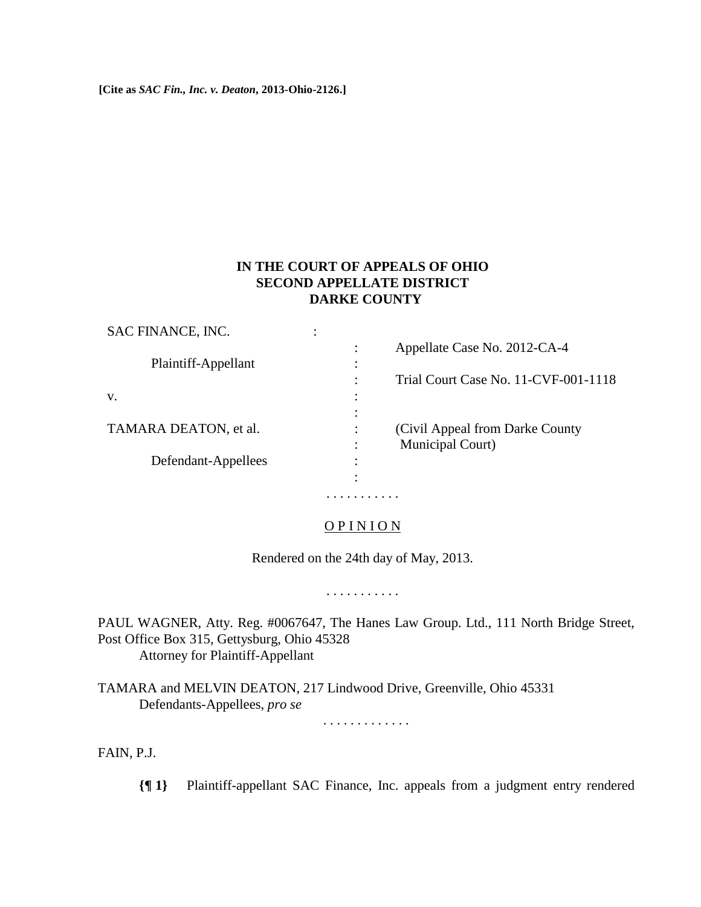**[Cite as** *SAC Fin., Inc. v. Deaton***, 2013-Ohio-2126.]**

# **IN THE COURT OF APPEALS OF OHIO SECOND APPELLATE DISTRICT DARKE COUNTY**

| SAC FINANCE, INC.     | ٠<br>٠ |                                      |
|-----------------------|--------|--------------------------------------|
| Plaintiff-Appellant   |        | Appellate Case No. 2012-CA-4         |
|                       |        |                                      |
|                       |        | Trial Court Case No. 11-CVF-001-1118 |
| V.                    |        |                                      |
|                       |        |                                      |
| TAMARA DEATON, et al. |        | (Civil Appeal from Darke County)     |
|                       |        | Municipal Court)                     |
| Defendant-Appellees   | ٠<br>٠ |                                      |
|                       |        |                                      |

## OP IN ION

. . . . . . . . . . .

Rendered on the 24th day of May, 2013.

. . . . . . . . . . .

PAUL WAGNER, Atty. Reg. #0067647, The Hanes Law Group. Ltd., 111 North Bridge Street, Post Office Box 315, Gettysburg, Ohio 45328 Attorney for Plaintiff-Appellant

TAMARA and MELVIN DEATON, 217 Lindwood Drive, Greenville, Ohio 45331 Defendants-Appellees, *pro se*

. . . . . . . . . . . . .

FAIN, P.J.

**{¶ 1}** Plaintiff-appellant SAC Finance, Inc. appeals from a judgment entry rendered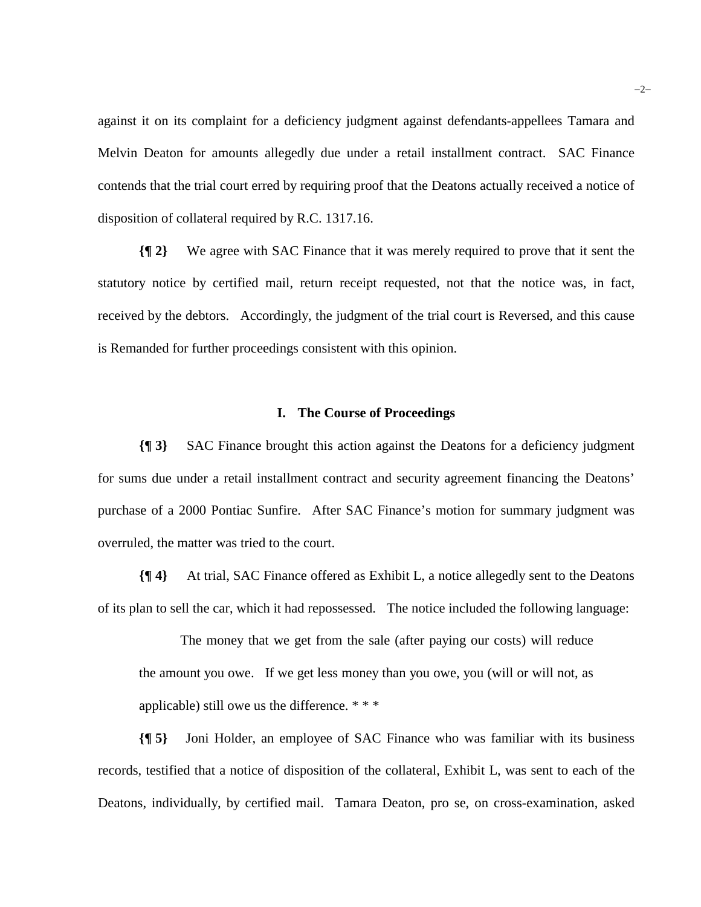against it on its complaint for a deficiency judgment against defendants-appellees Tamara and Melvin Deaton for amounts allegedly due under a retail installment contract. SAC Finance contends that the trial court erred by requiring proof that the Deatons actually received a notice of disposition of collateral required by R.C. 1317.16.

**{¶ 2}** We agree with SAC Finance that it was merely required to prove that it sent the statutory notice by certified mail, return receipt requested, not that the notice was, in fact, received by the debtors. Accordingly, the judgment of the trial court is Reversed, and this cause is Remanded for further proceedings consistent with this opinion.

#### **I. The Course of Proceedings**

**{¶ 3}** SAC Finance brought this action against the Deatons for a deficiency judgment for sums due under a retail installment contract and security agreement financing the Deatons' purchase of a 2000 Pontiac Sunfire. After SAC Finance's motion for summary judgment was overruled, the matter was tried to the court.

**{¶ 4}** At trial, SAC Finance offered as Exhibit L, a notice allegedly sent to the Deatons of its plan to sell the car, which it had repossessed. The notice included the following language:

The money that we get from the sale (after paying our costs) will reduce the amount you owe. If we get less money than you owe, you (will or will not, as applicable) still owe us the difference. \* \* \*

**{¶ 5}** Joni Holder, an employee of SAC Finance who was familiar with its business records, testified that a notice of disposition of the collateral, Exhibit L, was sent to each of the Deatons, individually, by certified mail. Tamara Deaton, pro se, on cross-examination, asked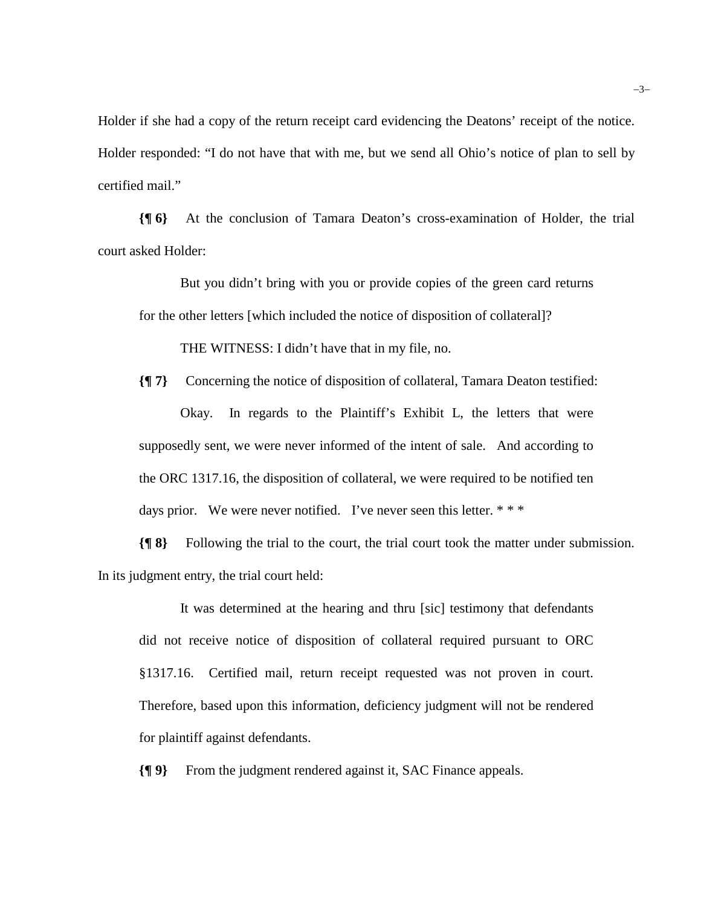Holder if she had a copy of the return receipt card evidencing the Deatons' receipt of the notice. Holder responded: "I do not have that with me, but we send all Ohio's notice of plan to sell by certified mail."

**{¶ 6}** At the conclusion of Tamara Deaton's cross-examination of Holder, the trial court asked Holder:

But you didn't bring with you or provide copies of the green card returns for the other letters [which included the notice of disposition of collateral]?

THE WITNESS: I didn't have that in my file, no.

**{¶ 7}** Concerning the notice of disposition of collateral, Tamara Deaton testified: Okay. In regards to the Plaintiff's Exhibit L, the letters that were supposedly sent, we were never informed of the intent of sale. And according to the ORC 1317.16, the disposition of collateral, we were required to be notified ten days prior. We were never notified. I've never seen this letter. \*\*\*

**{¶ 8}** Following the trial to the court, the trial court took the matter under submission. In its judgment entry, the trial court held:

It was determined at the hearing and thru [sic] testimony that defendants did not receive notice of disposition of collateral required pursuant to ORC §1317.16. Certified mail, return receipt requested was not proven in court. Therefore, based upon this information, deficiency judgment will not be rendered for plaintiff against defendants.

**{¶ 9}** From the judgment rendered against it, SAC Finance appeals.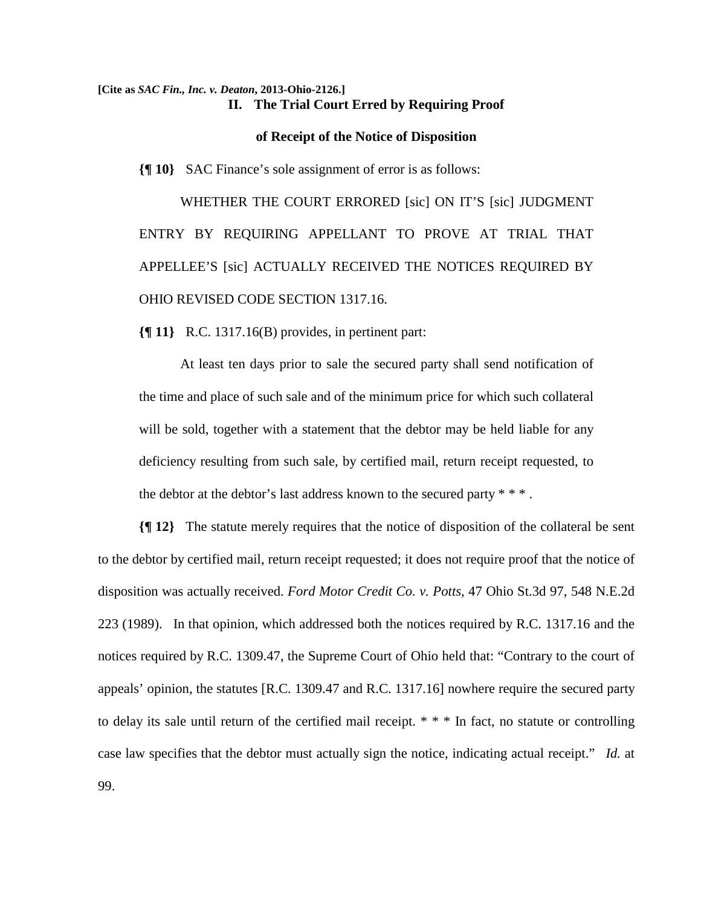### **[Cite as** *SAC Fin., Inc. v. Deaton***, 2013-Ohio-2126.] II. The Trial Court Erred by Requiring Proof**

#### **of Receipt of the Notice of Disposition**

**{¶ 10}** SAC Finance's sole assignment of error is as follows:

WHETHER THE COURT ERRORED [sic] ON IT'S [sic] JUDGMENT ENTRY BY REQUIRING APPELLANT TO PROVE AT TRIAL THAT APPELLEE'S [sic] ACTUALLY RECEIVED THE NOTICES REQUIRED BY OHIO REVISED CODE SECTION 1317.16.

**{¶ 11}** R.C. 1317.16(B) provides, in pertinent part:

At least ten days prior to sale the secured party shall send notification of the time and place of such sale and of the minimum price for which such collateral will be sold, together with a statement that the debtor may be held liable for any deficiency resulting from such sale, by certified mail, return receipt requested, to the debtor at the debtor's last address known to the secured party  $* * *$ .

**{¶ 12}** The statute merely requires that the notice of disposition of the collateral be sent to the debtor by certified mail, return receipt requested; it does not require proof that the notice of disposition was actually received. *Ford Motor Credit Co. v. Potts*, 47 Ohio St.3d 97, 548 N.E.2d 223 (1989). In that opinion, which addressed both the notices required by R.C. 1317.16 and the notices required by R.C. 1309.47, the Supreme Court of Ohio held that: "Contrary to the court of appeals' opinion, the statutes [R.C. 1309.47 and R.C. 1317.16] nowhere require the secured party to delay its sale until return of the certified mail receipt. \* \* \* In fact, no statute or controlling case law specifies that the debtor must actually sign the notice, indicating actual receipt." *Id.* at 99.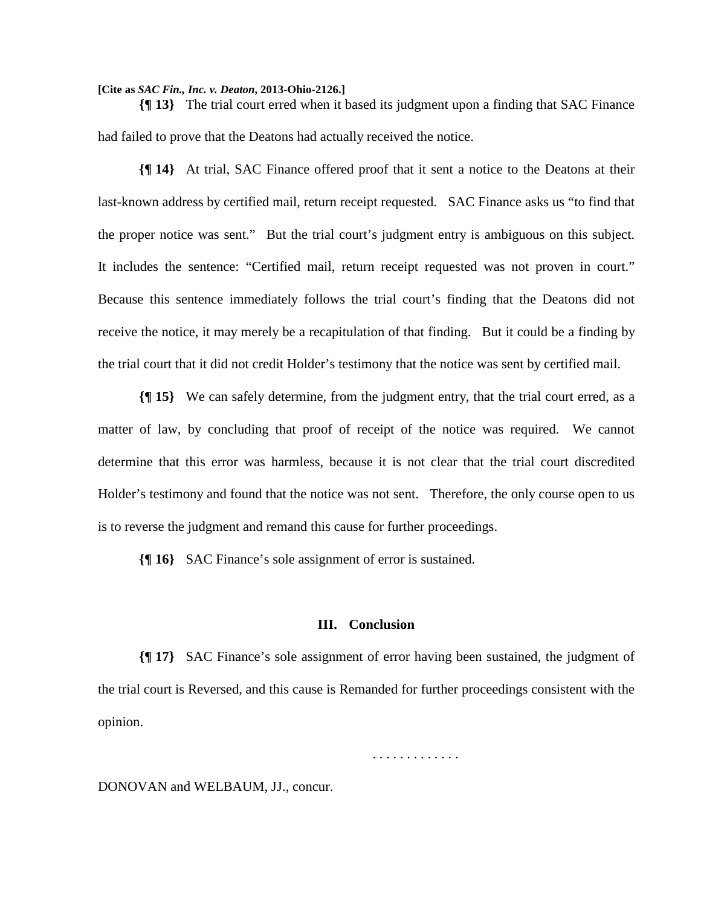**[Cite as** *SAC Fin., Inc. v. Deaton***, 2013-Ohio-2126.]**

**{¶ 13}** The trial court erred when it based its judgment upon a finding that SAC Finance had failed to prove that the Deatons had actually received the notice.

**{¶ 14}** At trial, SAC Finance offered proof that it sent a notice to the Deatons at their last-known address by certified mail, return receipt requested. SAC Finance asks us "to find that the proper notice was sent." But the trial court's judgment entry is ambiguous on this subject. It includes the sentence: "Certified mail, return receipt requested was not proven in court." Because this sentence immediately follows the trial court's finding that the Deatons did not receive the notice, it may merely be a recapitulation of that finding. But it could be a finding by the trial court that it did not credit Holder's testimony that the notice was sent by certified mail.

**{¶ 15}** We can safely determine, from the judgment entry, that the trial court erred, as a matter of law, by concluding that proof of receipt of the notice was required. We cannot determine that this error was harmless, because it is not clear that the trial court discredited Holder's testimony and found that the notice was not sent. Therefore, the only course open to us is to reverse the judgment and remand this cause for further proceedings.

**{¶ 16}** SAC Finance's sole assignment of error is sustained.

### **III. Conclusion**

**{¶ 17}** SAC Finance's sole assignment of error having been sustained, the judgment of the trial court is Reversed, and this cause is Remanded for further proceedings consistent with the opinion.

. . . . . . . . . . . . .

### DONOVAN and WELBAUM, JJ., concur.